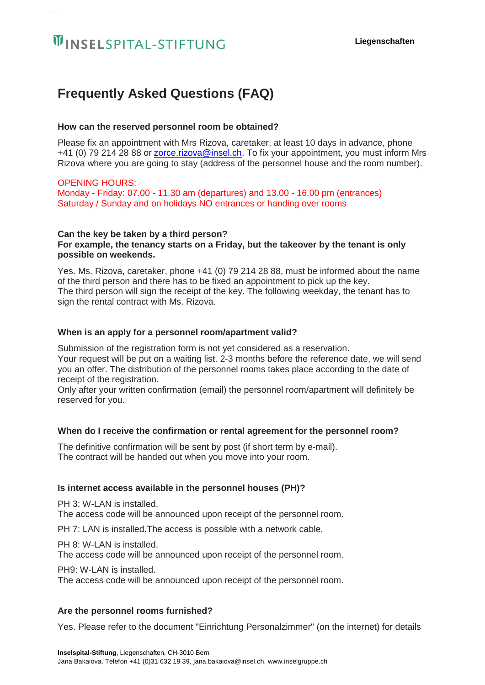# **WINSELSPITAL-STIFTUNG**

# **Frequently Asked Questions (FAQ)**

# **How can the reserved personnel room be obtained?**

Please fix an appointment with Mrs Rizova, caretaker, at least 10 days in advance, phone +41 (0) 79 214 28 88 or [zorce.rizova@insel.ch.](mailto:zorce.rizova@insel.ch) To fix your appointment, you must inform Mrs Rizova where you are going to stay (address of the personnel house and the room number).

# OPENING HOURS:

Monday - Friday: 07.00 - 11.30 am (departures) and 13.00 - 16.00 pm (entrances) Saturday / Sunday and on holidays NO entrances or handing over rooms

#### **Can the key be taken by a third person? For example, the tenancy starts on a Friday, but the takeover by the tenant is only possible on weekends.**

Yes. Ms. Rizova, caretaker, phone +41 (0) 79 214 28 88, must be informed about the name of the third person and there has to be fixed an appointment to pick up the key. The third person will sign the receipt of the key. The following weekday, the tenant has to sign the rental contract with Ms. Rizova.

# **When is an apply for a personnel room/apartment valid?**

Submission of the registration form is not yet considered as a reservation. Your request will be put on a waiting list. 2-3 months before the reference date, we will send you an offer. The distribution of the personnel rooms takes place according to the date of receipt of the registration.

Only after your written confirmation (email) the personnel room/apartment will definitely be reserved for you.

# **When do I receive the confirmation or rental agreement for the personnel room?**

The definitive confirmation will be sent by post (if short term by e-mail). The contract will be handed out when you move into your room.

# **Is internet access available in the personnel houses (PH)?**

PH 3: W-LAN is installed.

The access code will be announced upon receipt of the personnel room.

PH 7: LAN is installed.The access is possible with a network cable.

PH 8: W-LAN is installed.

The access code will be announced upon receipt of the personnel room.

PH9: W-LAN is installed.

The access code will be announced upon receipt of the personnel room.

#### **Are the personnel rooms furnished?**

Yes. Please refer to the document "Einrichtung Personalzimmer" (on the internet) for details